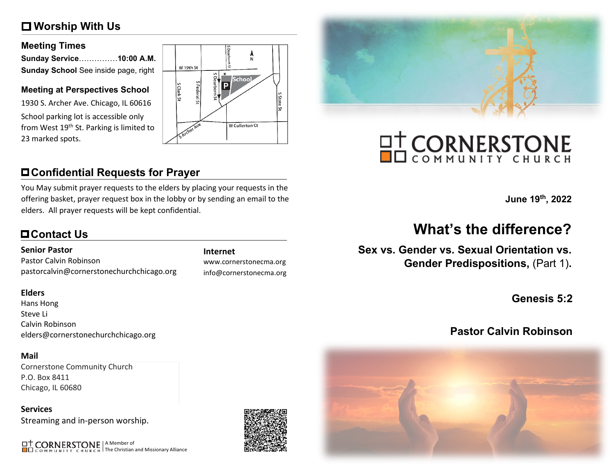# **Worship With Us**

### **Meeting Times**

| Sunday Service10:00 A.M.             |  |
|--------------------------------------|--|
| Sunday School See inside page, right |  |

### **Meeting at Perspectives School**

1930 S. Archer Ave. Chicago, IL 60616 School parking lot is accessible only from West 19<sup>th</sup> St. Parking is limited to 23 marked spots.



# **Confidential Requests for Prayer**

You May submit prayer requests to the elders by placing your requests in the offering basket, prayer request box in the lobby or by sending an email to the elders. All prayer requests will be kept confidential.

# **Contact Us**

### **Senior Pastor**

Pastor Calvin Robinson pastorcalvin@cornerstonechurchchicago.org

### **Elders**

Hans Hong Steve Li Calvin Robinson elders@cornerstonechurchchicago.org

### **Mail**

Cornerstone Community Church P.O. Box 8411 Chicago, IL 60680

**Services** Streaming and in-person worship.

A Member of The Christian and Missionary Alliance

### **Internet**

www.cornerstonecma.org info@cornerstonecma.org



# **OT CORNERSTONE**

**June 19th, 2022**

# **What's the difference?**

**Sex vs. Gender vs. Sexual Orientation vs. Gender Predispositions,** (Part 1)**.**

**Genesis 5:2**

# **Pastor Calvin Robinson**